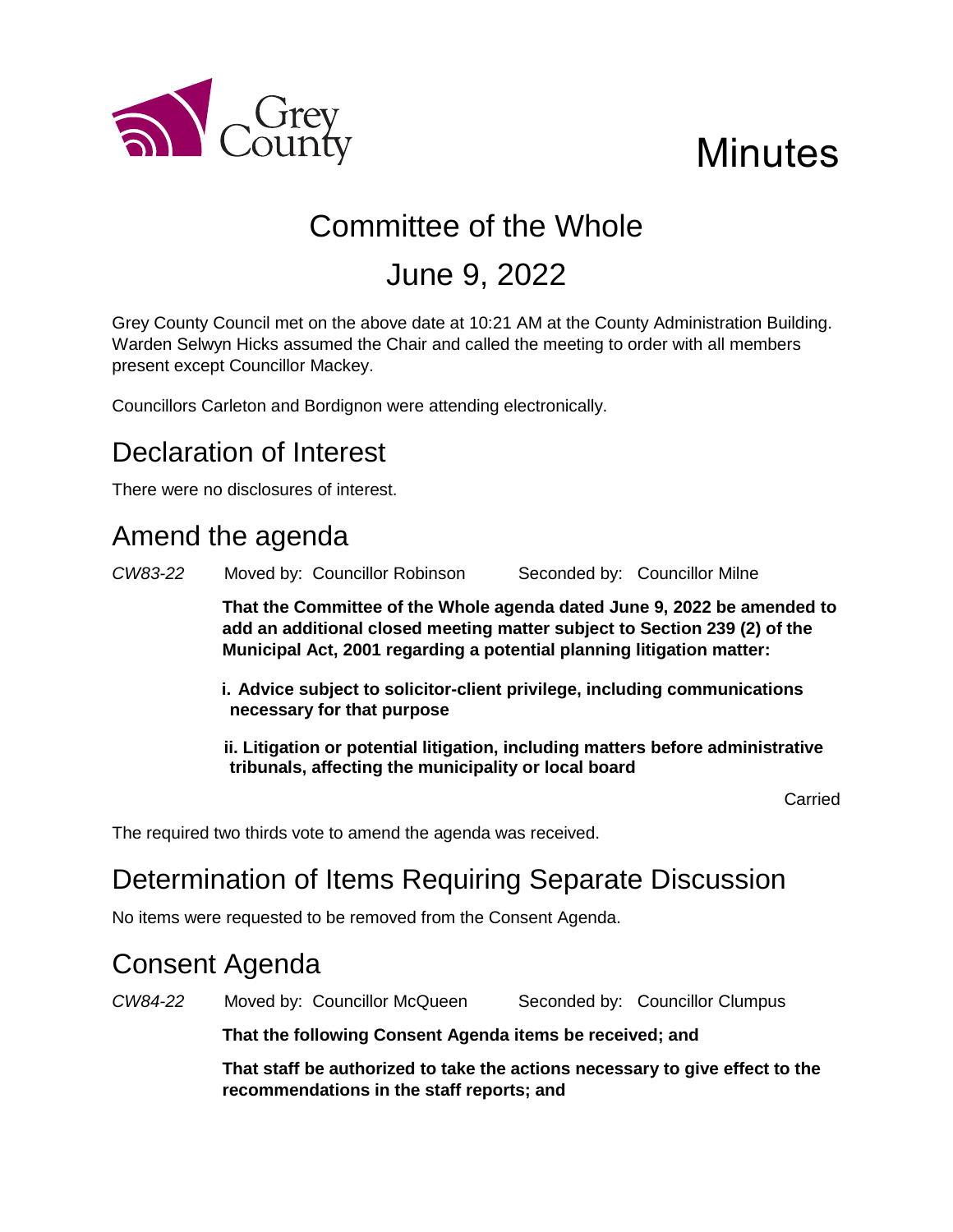

# **Minutes**

# Committee of the Whole

## June 9, 2022

Grey County Council met on the above date at 10:21 AM at the County Administration Building. Warden Selwyn Hicks assumed the Chair and called the meeting to order with all members present except Councillor Mackey.

Councillors Carleton and Bordignon were attending electronically.

## Declaration of Interest

There were no disclosures of interest.

## Amend the agenda

*CW83-22* Moved by: Councillor Robinson Seconded by: Councillor Milne

**That the Committee of the Whole agenda dated June 9, 2022 be amended to add an additional closed meeting matter subject to Section 239 (2) of the Municipal Act, 2001 regarding a potential planning litigation matter:**

- **i. Advice subject to solicitor-client privilege, including communications necessary for that purpose**
- **ii. Litigation or potential litigation, including matters before administrative tribunals, affecting the municipality or local board**

Carried

The required two thirds vote to amend the agenda was received.

## Determination of Items Requiring Separate Discussion

No items were requested to be removed from the Consent Agenda.

## Consent Agenda

*CW84-22* Moved by: Councillor McQueen Seconded by: Councillor Clumpus

**That the following Consent Agenda items be received; and**

**That staff be authorized to take the actions necessary to give effect to the recommendations in the staff reports; and**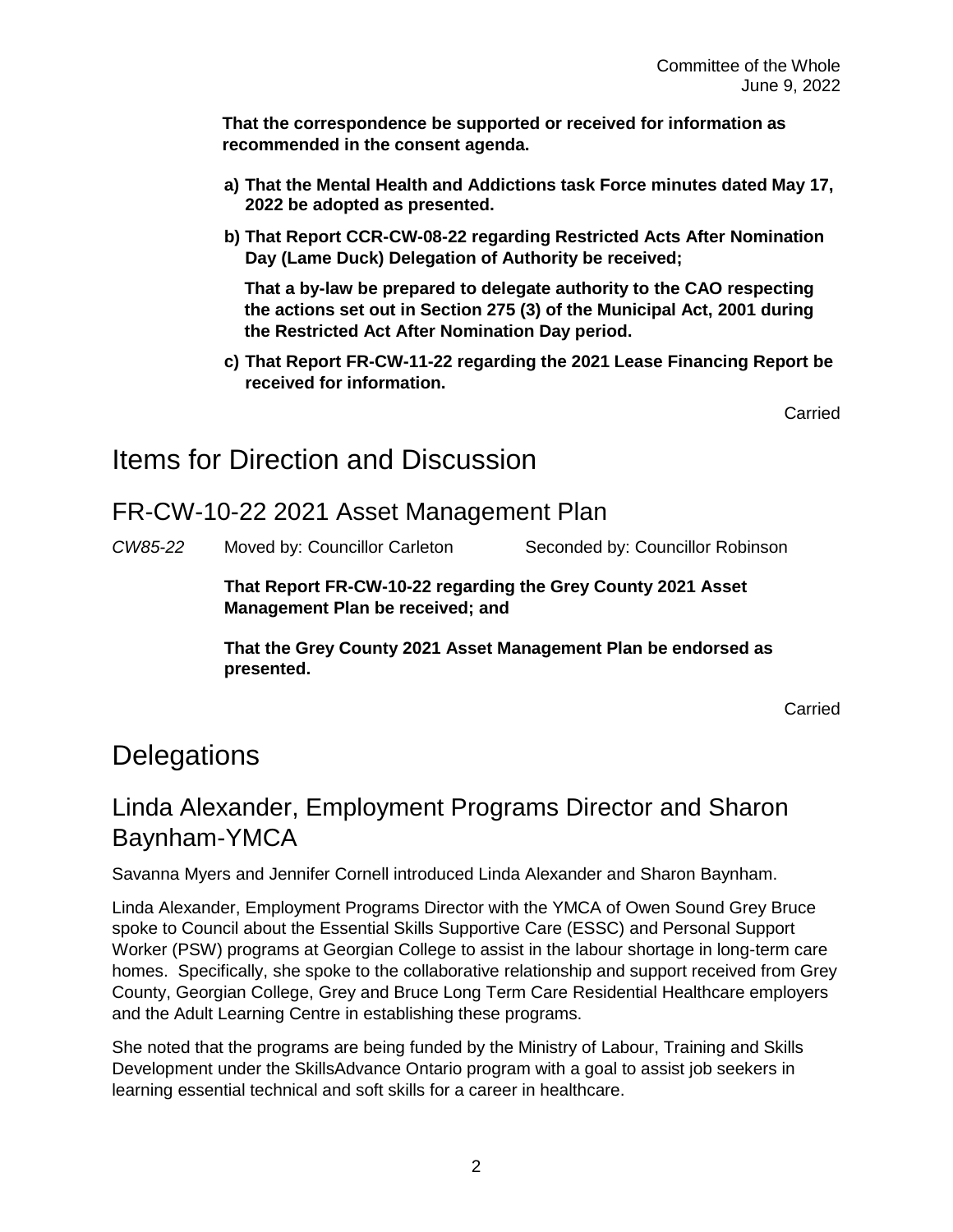**That the correspondence be supported or received for information as recommended in the consent agenda.** 

- **a) That the Mental Health and Addictions task Force minutes dated May 17, 2022 be adopted as presented.**
- **b) That Report CCR-CW-08-22 regarding Restricted Acts After Nomination Day (Lame Duck) Delegation of Authority be received;**

**That a by-law be prepared to delegate authority to the CAO respecting the actions set out in Section 275 (3) of the Municipal Act, 2001 during the Restricted Act After Nomination Day period.** 

**c) That Report FR-CW-11-22 regarding the 2021 Lease Financing Report be received for information.**

Carried

## Items for Direction and Discussion

#### FR-CW-10-22 2021 Asset Management Plan

*CW85-22* Moved by: Councillor Carleton Seconded by: Councillor Robinson

**That Report FR-CW-10-22 regarding the Grey County 2021 Asset Management Plan be received; and**

**That the Grey County 2021 Asset Management Plan be endorsed as presented.**

Carried

## **Delegations**

## Linda Alexander, Employment Programs Director and Sharon Baynham-YMCA

Savanna Myers and Jennifer Cornell introduced Linda Alexander and Sharon Baynham.

Linda Alexander, Employment Programs Director with the YMCA of Owen Sound Grey Bruce spoke to Council about the Essential Skills Supportive Care (ESSC) and Personal Support Worker (PSW) programs at Georgian College to assist in the labour shortage in long-term care homes. Specifically, she spoke to the collaborative relationship and support received from Grey County, Georgian College, Grey and Bruce Long Term Care Residential Healthcare employers and the Adult Learning Centre in establishing these programs.

She noted that the programs are being funded by the Ministry of Labour, Training and Skills Development under the SkillsAdvance Ontario program with a goal to assist job seekers in learning essential technical and soft skills for a career in healthcare.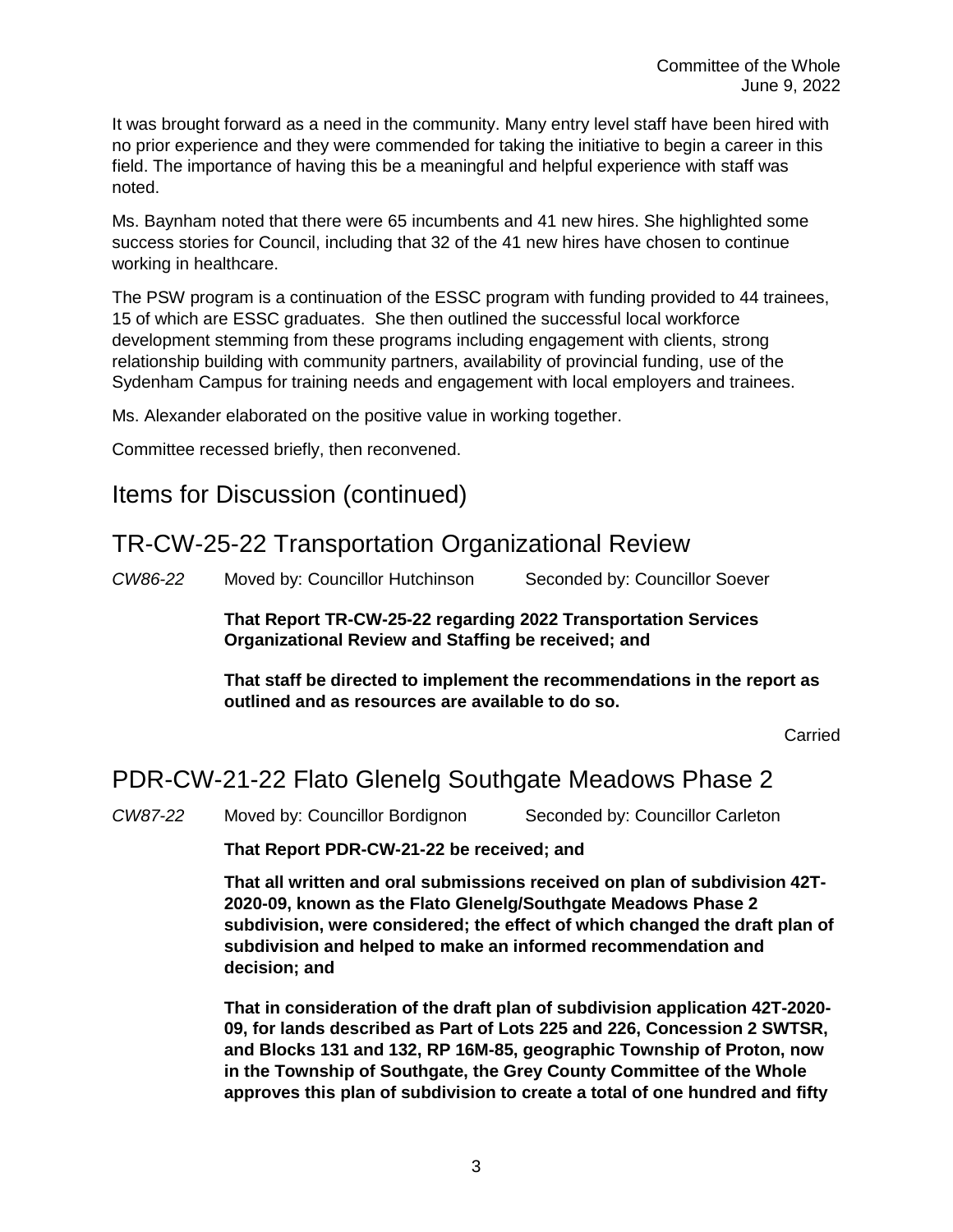It was brought forward as a need in the community. Many entry level staff have been hired with no prior experience and they were commended for taking the initiative to begin a career in this field. The importance of having this be a meaningful and helpful experience with staff was noted.

Ms. Baynham noted that there were 65 incumbents and 41 new hires. She highlighted some success stories for Council, including that 32 of the 41 new hires have chosen to continue working in healthcare.

The PSW program is a continuation of the ESSC program with funding provided to 44 trainees, 15 of which are ESSC graduates. She then outlined the successful local workforce development stemming from these programs including engagement with clients, strong relationship building with community partners, availability of provincial funding, use of the Sydenham Campus for training needs and engagement with local employers and trainees.

Ms. Alexander elaborated on the positive value in working together.

Committee recessed briefly, then reconvened.

#### Items for Discussion (continued)

#### TR-CW-25-22 Transportation Organizational Review

*CW86-22* Moved by: Councillor Hutchinson Seconded by: Councillor Soever

**That Report TR-CW-25-22 regarding 2022 Transportation Services Organizational Review and Staffing be received; and**

**That staff be directed to implement the recommendations in the report as outlined and as resources are available to do so.**

Carried

### PDR-CW-21-22 Flato Glenelg Southgate Meadows Phase 2

*CW87-22* Moved by: Councillor Bordignon Seconded by: Councillor Carleton

#### **That Report PDR-CW-21-22 be received; and**

**That all written and oral submissions received on plan of subdivision 42T-2020-09, known as the Flato Glenelg/Southgate Meadows Phase 2 subdivision, were considered; the effect of which changed the draft plan of subdivision and helped to make an informed recommendation and decision; and**

**That in consideration of the draft plan of subdivision application 42T-2020- 09, for lands described as Part of Lots 225 and 226, Concession 2 SWTSR, and Blocks 131 and 132, RP 16M-85, geographic Township of Proton, now in the Township of Southgate, the Grey County Committee of the Whole approves this plan of subdivision to create a total of one hundred and fifty**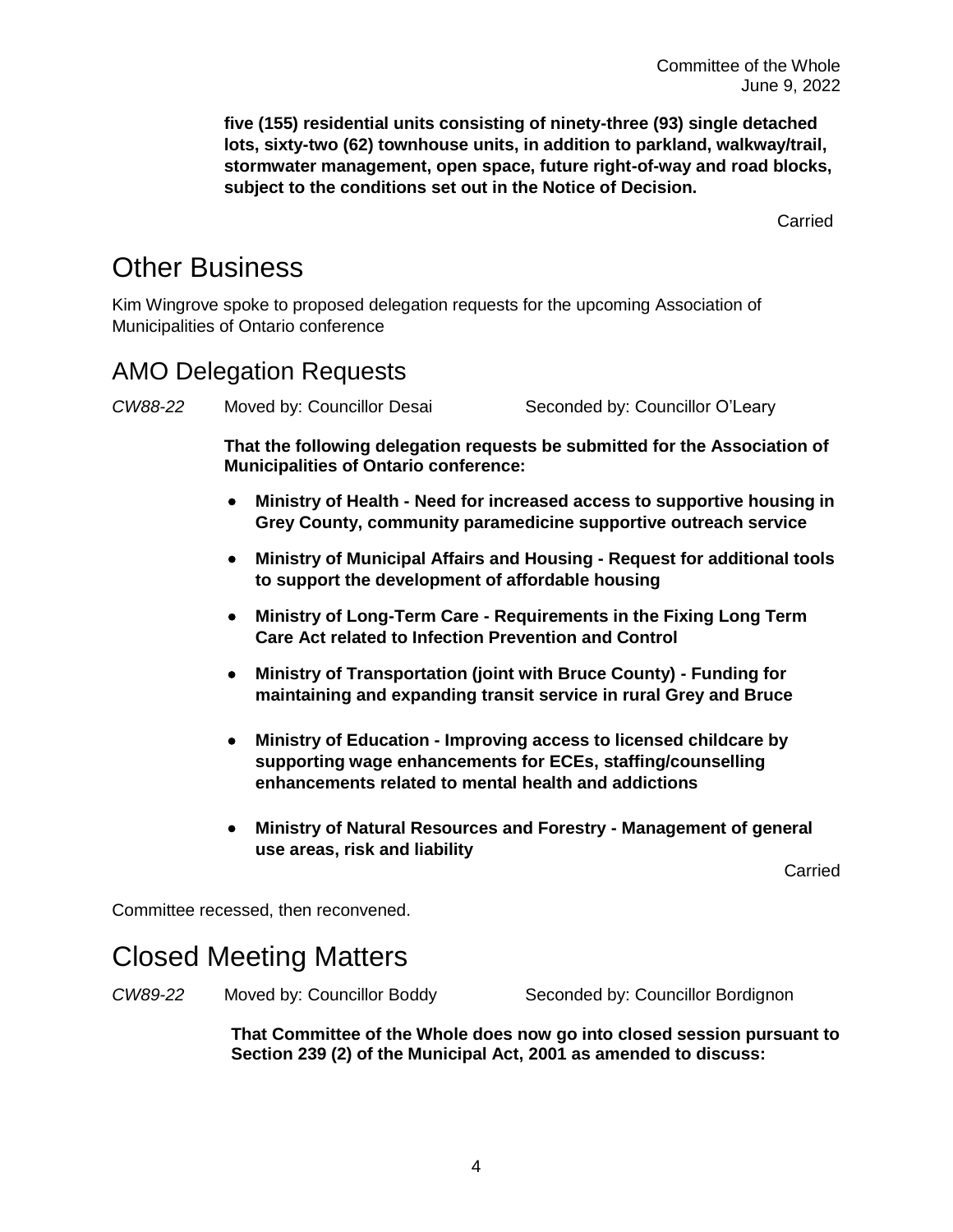**five (155) residential units consisting of ninety-three (93) single detached lots, sixty-two (62) townhouse units, in addition to parkland, walkway/trail, stormwater management, open space, future right-of-way and road blocks, subject to the conditions set out in the Notice of Decision.**

**Carried** 

## Other Business

Kim Wingrove spoke to proposed delegation requests for the upcoming Association of Municipalities of Ontario conference

### AMO Delegation Requests

*CW88-22* Moved by: Councillor Desai Seconded by: Councillor O'Leary

**That the following delegation requests be submitted for the Association of Municipalities of Ontario conference:**

- **Ministry of Health - Need for increased access to supportive housing in Grey County, community paramedicine supportive outreach service**
- **Ministry of Municipal Affairs and Housing - Request for additional tools to support the development of affordable housing**
- **Ministry of Long-Term Care - Requirements in the Fixing Long Term Care Act related to Infection Prevention and Control**
- **Ministry of Transportation (joint with Bruce County) - Funding for maintaining and expanding transit service in rural Grey and Bruce**
- **Ministry of Education - Improving access to licensed childcare by supporting wage enhancements for ECEs, staffing/counselling enhancements related to mental health and addictions**
- **Ministry of Natural Resources and Forestry - Management of general use areas, risk and liability**

Carried

Committee recessed, then reconvened.

## Closed Meeting Matters

*CW89-22* Moved by: Councillor Boddy Seconded by: Councillor Bordignon

**That Committee of the Whole does now go into closed session pursuant to Section 239 (2) of the Municipal Act, 2001 as amended to discuss:**